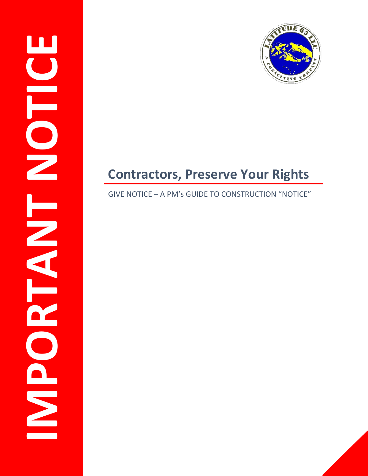



# **Contractors, Preserve Your Rights**

### GIVE NOTICE – A PM's GUIDE TO CONSTRUCTION "NOTICE"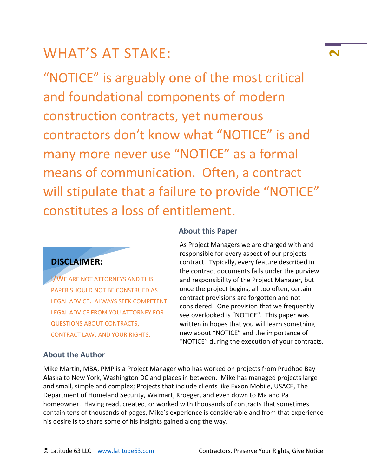# WHAT'S AT STAKE: **<sup>2</sup>**

"NOTICE" is arguably one of the most critical and foundational components of modern construction contracts, yet numerous contractors don't know what "NOTICE" is and many more never use "NOTICE" as a formal means of communication. Often, a contract will stipulate that a failure to provide "NOTICE" constitutes a loss of entitlement.

### **DISCLAIMER:**

I/WE ARE NOT ATTORNEYS AND THIS PAPER SHOULD NOT BE CONSTRUED AS LEGAL ADVICE. ALWAYS SEEK COMPETENT LEGAL ADVICE FROM YOU ATTORNEY FOR QUESTIONS ABOUT CONTRACTS, CONTRACT LAW, AND YOUR RIGHTS.

### **About the Author**

#### **About this Paper**

As Project Managers we are charged with and responsible for every aspect of our projects contract. Typically, every feature described in the contract documents falls under the purview and responsibility of the Project Manager, but once the project begins, all too often, certain contract provisions are forgotten and not considered. One provision that we frequently see overlooked is "NOTICE". This paper was written in hopes that you will learn something new about "NOTICE" and the importance of "NOTICE" during the execution of your contracts.

Mike Martin, MBA, PMP is a Project Manager who has worked on projects from Prudhoe Bay Alaska to New York, Washington DC and places in between. Mike has managed projects large and small, simple and complex; Projects that include clients like Exxon Mobile, USACE, The Department of Homeland Security, Walmart, Kroeger, and even down to Ma and Pa homeowner. Having read, created, or worked with thousands of contracts that sometimes contain tens of thousands of pages, Mike's experience is considerable and from that experience his desire is to share some of his insights gained along the way.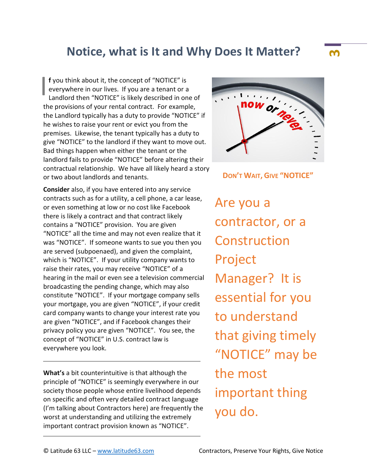### **Notice, what is It and Why Does It Matter? <sup>3</sup>**

**f** you think about it, the concept of "NOTICE" is everywhere in our lives. If you are a tenant or a Landlord then "NOTICE" is likely described in one of the provisions of your rental contract. For example, the Landlord typically has a duty to provide "NOTICE" if he wishes to raise your rent or evict you from the premises. Likewise, the tenant typically has a duty to give "NOTICE" to the landlord if they want to move out. Bad things happen when either the tenant or the landlord fails to provide "NOTICE" before altering their contractual relationship. We have all likely heard a story or two about landlords and tenants. I

**Consider** also, if you have entered into any service contracts such as for a utility, a cell phone, a car lease, or even something at low or no cost like Facebook there is likely a contract and that contract likely contains a "NOTICE" provision. You are given "NOTICE" all the time and may not even realize that it was "NOTICE". If someone wants to sue you then you are served (subpoenaed), and given the complaint, which is "NOTICE". If your utility company wants to raise their rates, you may receive "NOTICE" of a hearing in the mail or even see a television commercial broadcasting the pending change, which may also constitute "NOTICE". If your mortgage company sells your mortgage, you are given "NOTICE", if your credit card company wants to change your interest rate you are given "NOTICE", and if Facebook changes their privacy policy you are given "NOTICE". You see, the concept of "NOTICE" in U.S. contract law is everywhere you look.

**What's** a bit counterintuitive is that although the principle of "NOTICE" is seemingly everywhere in our society those people whose entire livelihood depends on specific and often very detailed contract language (I'm talking about Contractors here) are frequently the worst at understanding and utilizing the extremely important contract provision known as "NOTICE".



**DON'T WAIT, GIVE "NOTICE"**

Are you a contractor, or a Construction Project Manager? It is essential for you to understand that giving timely "NOTICE" may be the most important thing you do.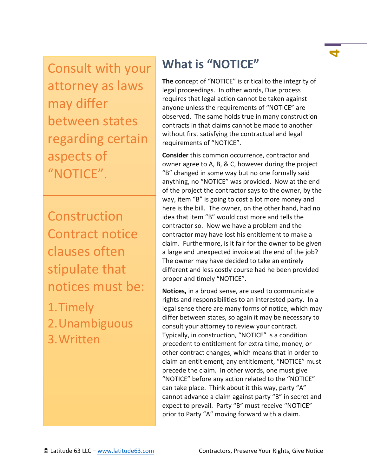Consult with your attorney as laws may differ between states regarding certain aspects of "NOTICE".

**Construction** Contract notice clauses often stipulate that notices must be:

1.Timely 2.Unambiguous 3.Written

# **What is "NOTICE"**

**The** concept of "NOTICE" is critical to the integrity of legal proceedings. In other words, Due process requires that legal action cannot be taken against anyone unless the requirements of "NOTICE" are observed. The same holds true in many construction contracts in that claims cannot be made to another without first satisfying the contractual and legal requirements of "NOTICE".

**Consider** this common occurrence, contractor and owner agree to A, B, & C, however during the project "B" changed in some way but no one formally said anything, no "NOTICE" was provided. Now at the end of the project the contractor says to the owner, by the way, item "B" is going to cost a lot more money and here is the bill. The owner, on the other hand, had no idea that item "B" would cost more and tells the contractor so. Now we have a problem and the contractor may have lost his entitlement to make a claim. Furthermore, is it fair for the owner to be given a large and unexpected invoice at the end of the job? The owner may have decided to take an entirely different and less costly course had he been provided proper and timely "NOTICE".

**Notices,** in a broad sense, are used to communicate rights and responsibilities to an interested party. In a legal sense there are many forms of notice, which may differ between states, so again it may be necessary to consult your attorney to review your contract. Typically, in construction, "NOTICE" is a condition precedent to entitlement for extra time, money, or other contract changes, which means that in order to claim an entitlement, any entitlement, "NOTICE" must precede the claim. In other words, one must give "NOTICE" before any action related to the "NOTICE" can take place. Think about it this way, party "A" cannot advance a claim against party "B" in secret and expect to prevail. Party "B" must receive "NOTICE" prior to Party "A" moving forward with a claim.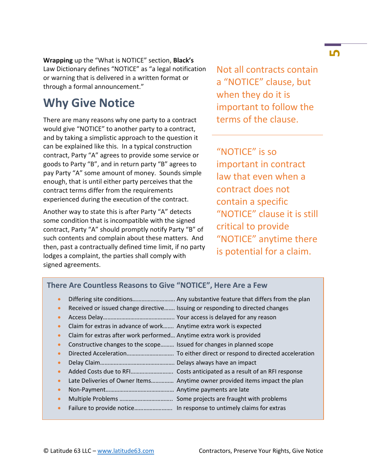**Wrapping** up the "What is NOTICE" section, **Black's** Law Dictionary defines "NOTICE" as "a legal notification or warning that is delivered in a written format or through a formal announcement."

## **Why Give Notice**

There are many reasons why one party to a contract would give "NOTICE" to another party to a contract, and by taking a simplistic approach to the question it can be explained like this. In a typical construction contract, Party "A" agrees to provide some service or goods to Party "B", and in return party "B" agrees to pay Party "A" some amount of money. Sounds simple enough, that is until either party perceives that the contract terms differ from the requirements experienced during the execution of the contract.

Another way to state this is after Party "A" detects some condition that is incompatible with the signed contract, Party "A" should promptly notify Party "B" of such contents and complain about these matters. And then, past a contractually defined time limit, if no party lodges a complaint, the parties shall comply with signed agreements.

Not all contracts contain a "NOTICE" clause, but when they do it is important to follow the terms of the clause.

"NOTICE" is so important in contract law that even when a contract does not contain a specific "NOTICE" clause it is still critical to provide "NOTICE" anytime there is potential for a claim.

### **There Are Countless Reasons to Give "NOTICE", Here Are a Few**

- Differing site conditions………………………. Any substantive feature that differs from the plan
- Received or issued change directive……. Issuing or responding to directed changes
- Access Delay……………………………………….. Your access is delayed for any reason
- Claim for extras in advance of work……. Anytime extra work is expected
- Claim for extras after work performed… Anytime extra work is provided
- Constructive changes to the scope……… Issued for changes in planned scope
- Directed Acceleration…………………………. To either direct or respond to directed acceleration
- Delay Claim…………………………………………. Delays always have an impact
- Added Costs due to RFI………………………. Costs anticipated as a result of an RFI response
- Late Deliveries of Owner Items…………… Anytime owner provided items impact the plan
- Non-Payment……………………………………… Anytime payments are late
- Multiple Problems …………………………….. Some projects are fraught with problems
- Failure to provide notice……………………. In response to untimely claims for extras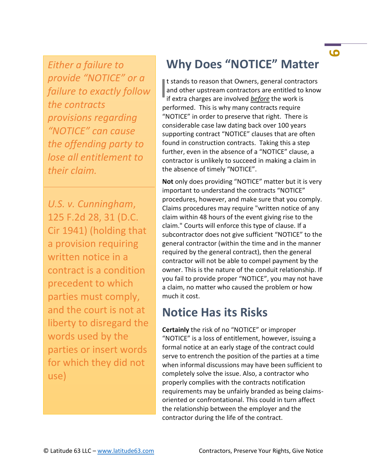*Either a failure to provide "NOTICE" or a failure to exactly follow the contracts provisions regarding "NOTICE" can cause the offending party to lose all entitlement to their claim.*

*U.S. v. Cunningham*, 125 F.2d 28, 31 (D.C. Cir 1941) (holding that a provision requiring written notice in a contract is a condition precedent to which parties must comply, and the court is not at liberty to disregard the words used by the parties or insert words for which they did not use)

## **Why Does "NOTICE" Matter**

t stands to reason that Owners, general contractors<br>and other upstream contractors are entitled to know<br>if extra charges are involved *before* the work is and other upstream contractors are entitled to know if extra charges are involved *before* the work is performed. This is why many contracts require "NOTICE" in order to preserve that right. There is considerable case law dating back over 100 years supporting contract "NOTICE" clauses that are often found in construction contracts. Taking this a step further, even in the absence of a "NOTICE" clause, a contractor is unlikely to succeed in making a claim in the absence of timely "NOTICE".

**Not** only does providing "NOTICE" matter but it is very important to understand the contracts "NOTICE" procedures, however, and make sure that you comply. Claims procedures may require "written notice of any claim within 48 hours of the event giving rise to the claim." Courts will enforce this type of clause. If a subcontractor does not give sufficient "NOTICE" to the general contractor (within the time and in the manner required by the general contract), then the general contractor will not be able to compel payment by the owner. This is the nature of the conduit relationship. If you fail to provide proper "NOTICE", you may not have a claim, no matter who caused the problem or how much it cost.

### **Notice Has its Risks**

**Certainly** the risk of no "NOTICE" or improper "NOTICE" is a loss of entitlement, however, issuing a formal notice at an early stage of the contract could serve to entrench the position of the parties at a time when informal discussions may have been sufficient to completely solve the issue. Also, a contractor who properly complies with the contracts notification requirements may be unfairly branded as being claimsoriented or confrontational. This could in turn affect the relationship between the employer and the contractor during the life of the contract.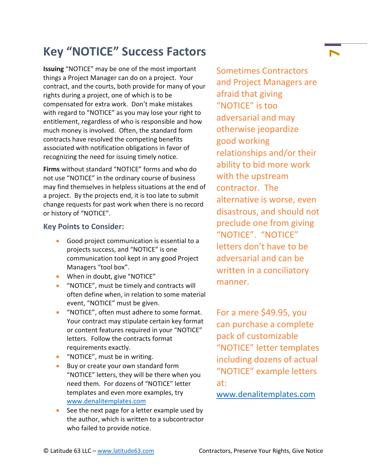## **Key "NOTICE" Success Factors <sup>7</sup>**

**Issuing** "NOTICE" may be one of the most important things a Project Manager can do on a project. Your contract, and the courts, both provide for many of your rights during a project, one of which is to be compensated for extra work. Don't make mistakes with regard to "NOTICE" as you may lose your right to entitlement, regardless of who is responsible and how much money is involved. Often, the standard form contracts have resolved the competing benefits associated with notification obligations in favor of recognizing the need for issuing timely notice.

**Firms** without standard "NOTICE" forms and who do not use "NOTICE" in the ordinary course of business may find themselves in helpless situations at the end of a project. By the projects end, it is too late to submit change requests for past work when there is no record or history of "NOTICE".

#### **Key Points to Consider:**

- Good project communication is essential to a projects success, and "NOTICE" is one communication tool kept in any good Project Managers "tool box".
- When in doubt, give "NOTICE"
- "NOTICE", must be timely and contracts will often define when, in relation to some material event, "NOTICE" must be given.
- "NOTICE", often must adhere to some format. Your contract may stipulate certain key format or content features required in your "NOTICE" letters. Follow the contracts format requirements exactly.
- "NOTICE", must be in writing.
- **Buy or create your own standard form** "NOTICE" letters, they will be there when you need them. For dozens of "NOTICE" letter templates and even more examples, try [www.denalitemplates.com](http://www.denalitemplates.com/)
- See the next page for a letter example used by the author, which is written to a subcontractor who failed to provide notice.

Sometimes Contractors and Project Managers are afraid that giving "NOTICE" is too adversarial and may otherwise jeopardize good working relationships and/or their ability to bid more work with the upstream contractor. The alternative is worse, even disastrous, and should not preclude one from giving "NOTICE". "NOTICE" letters don't have to be adversarial and can be written in a conciliatory manner.

For a mere \$49.95, you can purchase a complete pack of customizable "NOTICE" letter templates including dozens of actual "NOTICE" example letters at:

[www.denalitemplates.com](http://www.denalitemplates.com/)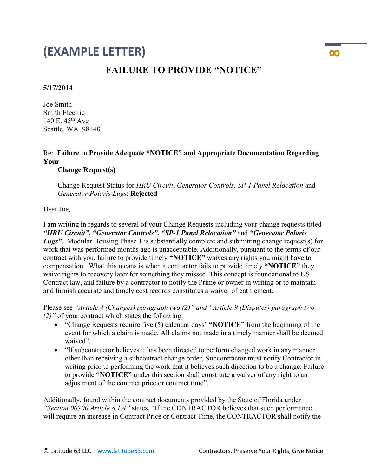### **(EXAMPLE LETTER) <sup>8</sup>**

### **FAILURE TO PROVIDE "NOTICE"**

#### **5/17/2014**

Joe Smith Smith Electric 140 E. 45th Ave Seattle, WA 98148

#### Re: **Failure to Provide Adequate "NOTICE" and Appropriate Documentation Regarding Your**

#### **Change Request(s)**

 Change Request Status for *HRU Circuit*, *Generator Controls, SP-1 Panel Relocation* and *Generator Polaris Lugs*: **Rejected**

Dear Joe,

I am writing in regards to several of your Change Requests including your change requests titled *"HRU Circuit"***,** *"Generator Controls", "SP-1 Panel Relocation"* and *"Generator Polaris*  **Lugs**". Modular Housing Phase 1 is substantially complete and submitting change request(s) for work that was performed months ago is unacceptable. Additionally, pursuant to the terms of our contract with you, failure to provide timely **"NOTICE"** waives any rights you might have to compensation. What this means is when a contractor fails to provide timely **"NOTICE"** they waive rights to recovery later for something they missed. This concept is foundational to US Contract law, and failure by a contractor to notify the Prime or owner in writing or to maintain and furnish accurate and timely cost records constitutes a waiver of entitlement.

Please see *"Article 4 (Changes) paragraph two (2)" and "Article 9 (Disputes) paragraph two (2)"* of your contract which states the following:

- "Change Requests require five (5) calendar days' **"NOTICE"** from the beginning of the event for which a claim is made. All claims not made in a timely manner shall be deemed waived".
- "If subcontractor believes it has been directed to perform changed work in any manner other than receiving a subcontract change order, Subcontractor must notify Contractor in writing prior to performing the work that it believes such direction to be a change. Failure to provide **"NOTICE"** under this section shall constitute a waiver of any right to an adjustment of the contract price or contract time".

Additionally, found within the contract documents provided by the State of Florida under *"Section 00700 Article 8.1.4"* states, "If the CONTRACTOR believes that such performance will require an increase in Contract Price or Contract Time, the CONTRACTOR shall notify the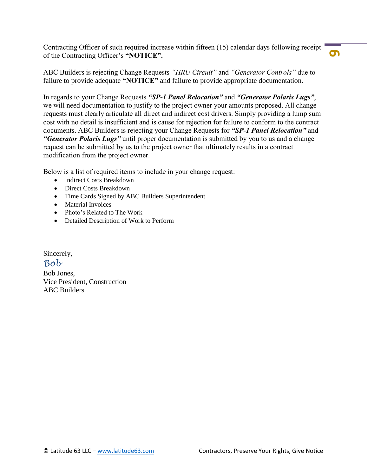Contracting Officer of such required increase within fifteen (15) calendar days following receipt of the Contracting Officer's **"NOTICE".**

**9**

ABC Builders is rejecting Change Requests *"HRU Circuit"* and *"Generator Controls"* due to failure to provide adequate **"NOTICE"** and failure to provide appropriate documentation.

In regards to your Change Requests *"SP-1 Panel Relocation"* and *"Generator Polaris Lugs"*, we will need documentation to justify to the project owner your amounts proposed. All change requests must clearly articulate all direct and indirect cost drivers. Simply providing a lump sum cost with no detail is insufficient and is cause for rejection for failure to conform to the contract documents. ABC Builders is rejecting your Change Requests for *"SP-1 Panel Relocation"* and *"Generator Polaris Lugs"* until proper documentation is submitted by you to us and a change request can be submitted by us to the project owner that ultimately results in a contract modification from the project owner.

Below is a list of required items to include in your change request:

- Indirect Costs Breakdown
- Direct Costs Breakdown
- Time Cards Signed by ABC Builders Superintendent
- Material Invoices
- Photo's Related to The Work
- Detailed Description of Work to Perform

Sincerely, *Bob*

Bob Jones, Vice President, Construction ABC Builders